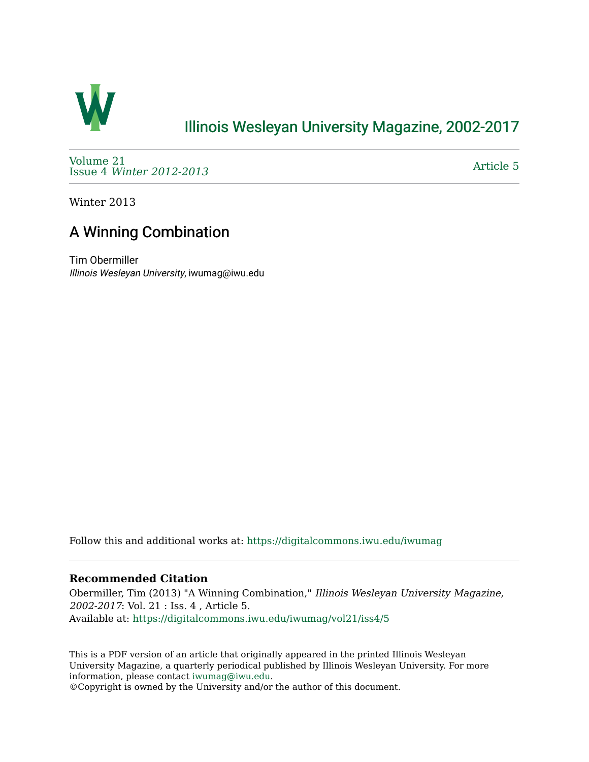

## [Illinois Wesleyan University Magazine, 2002-2017](https://digitalcommons.iwu.edu/iwumag)

[Volume 21](https://digitalcommons.iwu.edu/iwumag/vol21)  Issue 4 [Winter 2012-2013](https://digitalcommons.iwu.edu/iwumag/vol21/iss4)

[Article 5](https://digitalcommons.iwu.edu/iwumag/vol21/iss4/5) 

Winter 2013

## A Winning Combination

Tim Obermiller Illinois Wesleyan University, iwumag@iwu.edu

Follow this and additional works at: [https://digitalcommons.iwu.edu/iwumag](https://digitalcommons.iwu.edu/iwumag?utm_source=digitalcommons.iwu.edu%2Fiwumag%2Fvol21%2Fiss4%2F5&utm_medium=PDF&utm_campaign=PDFCoverPages) 

## **Recommended Citation**

Obermiller, Tim (2013) "A Winning Combination," Illinois Wesleyan University Magazine, 2002-2017: Vol. 21 : Iss. 4 , Article 5. Available at: [https://digitalcommons.iwu.edu/iwumag/vol21/iss4/5](https://digitalcommons.iwu.edu/iwumag/vol21/iss4/5?utm_source=digitalcommons.iwu.edu%2Fiwumag%2Fvol21%2Fiss4%2F5&utm_medium=PDF&utm_campaign=PDFCoverPages)

This is a PDF version of an article that originally appeared in the printed Illinois Wesleyan University Magazine, a quarterly periodical published by Illinois Wesleyan University. For more information, please contact [iwumag@iwu.edu](mailto:iwumag@iwu.edu).

©Copyright is owned by the University and/or the author of this document.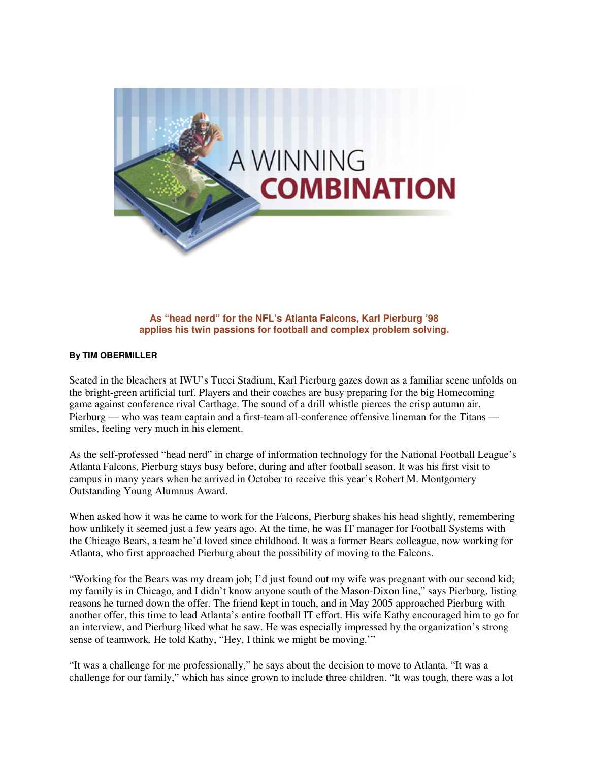

**As "head nerd" for the NFL's Atlanta Falcons, Karl Pierburg '98 applies his twin passions for football and complex problem solving.** 

## **By TIM OBERMILLER**

Seated in the bleachers at IWU's Tucci Stadium, Karl Pierburg gazes down as a familiar scene unfolds on the bright-green artificial turf. Players and their coaches are busy preparing for the big Homecoming game against conference rival Carthage. The sound of a drill whistle pierces the crisp autumn air. Pierburg — who was team captain and a first-team all-conference offensive lineman for the Titans smiles, feeling very much in his element.

As the self-professed "head nerd" in charge of information technology for the National Football League's Atlanta Falcons, Pierburg stays busy before, during and after football season. It was his first visit to campus in many years when he arrived in October to receive this year's Robert M. Montgomery Outstanding Young Alumnus Award.

When asked how it was he came to work for the Falcons, Pierburg shakes his head slightly, remembering how unlikely it seemed just a few years ago. At the time, he was IT manager for Football Systems with the Chicago Bears, a team he'd loved since childhood. It was a former Bears colleague, now working for Atlanta, who first approached Pierburg about the possibility of moving to the Falcons.

"Working for the Bears was my dream job; I'd just found out my wife was pregnant with our second kid; my family is in Chicago, and I didn't know anyone south of the Mason-Dixon line," says Pierburg, listing reasons he turned down the offer. The friend kept in touch, and in May 2005 approached Pierburg with another offer, this time to lead Atlanta's entire football IT effort. His wife Kathy encouraged him to go for an interview, and Pierburg liked what he saw. He was especially impressed by the organization's strong sense of teamwork. He told Kathy, "Hey, I think we might be moving.'"

"It was a challenge for me professionally," he says about the decision to move to Atlanta. "It was a challenge for our family," which has since grown to include three children. "It was tough, there was a lot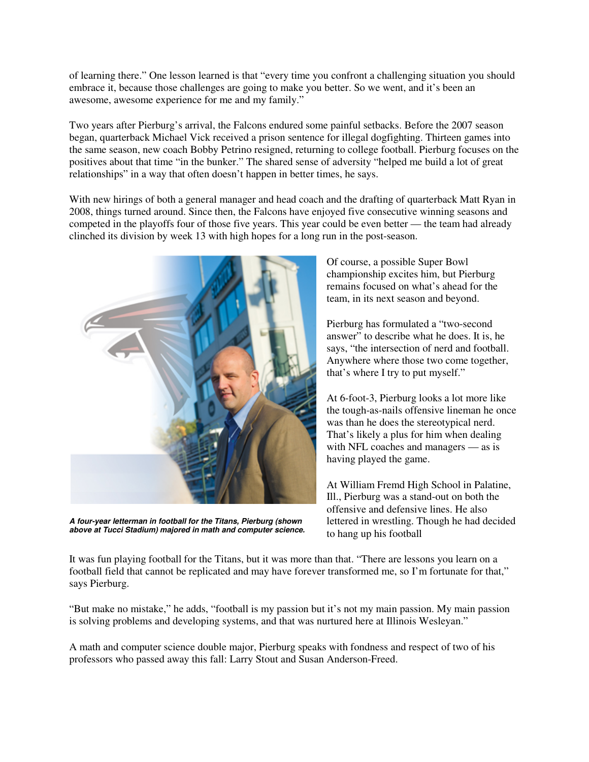of learning there." One lesson learned is that "every time you confront a challenging situation you should embrace it, because those challenges are going to make you better. So we went, and it's been an awesome, awesome experience for me and my family."

Two years after Pierburg's arrival, the Falcons endured some painful setbacks. Before the 2007 season began, quarterback Michael Vick received a prison sentence for illegal dogfighting. Thirteen games into the same season, new coach Bobby Petrino resigned, returning to college football. Pierburg focuses on the positives about that time "in the bunker." The shared sense of adversity "helped me build a lot of great relationships" in a way that often doesn't happen in better times, he says.

With new hirings of both a general manager and head coach and the drafting of quarterback Matt Ryan in 2008, things turned around. Since then, the Falcons have enjoyed five consecutive winning seasons and competed in the playoffs four of those five years. This year could be even better — the team had already clinched its division by week 13 with high hopes for a long run in the post-season.



**A four-year letterman in football for the Titans, Pierburg (shown above at Tucci Stadium) majored in math and computer science.**

Of course, a possible Super Bowl championship excites him, but Pierburg remains focused on what's ahead for the team, in its next season and beyond.

Pierburg has formulated a "two-second answer" to describe what he does. It is, he says, "the intersection of nerd and football. Anywhere where those two come together, that's where I try to put myself."

At 6-foot-3, Pierburg looks a lot more like the tough-as-nails offensive lineman he once was than he does the stereotypical nerd. That's likely a plus for him when dealing with NFL coaches and managers — as is having played the game.

At William Fremd High School in Palatine, Ill., Pierburg was a stand-out on both the offensive and defensive lines. He also lettered in wrestling. Though he had decided to hang up his football

It was fun playing football for the Titans, but it was more than that. "There are lessons you learn on a football field that cannot be replicated and may have forever transformed me, so I'm fortunate for that," says Pierburg.

"But make no mistake," he adds, "football is my passion but it's not my main passion. My main passion is solving problems and developing systems, and that was nurtured here at Illinois Wesleyan."

A math and computer science double major, Pierburg speaks with fondness and respect of two of his professors who passed away this fall: Larry Stout and Susan Anderson-Freed.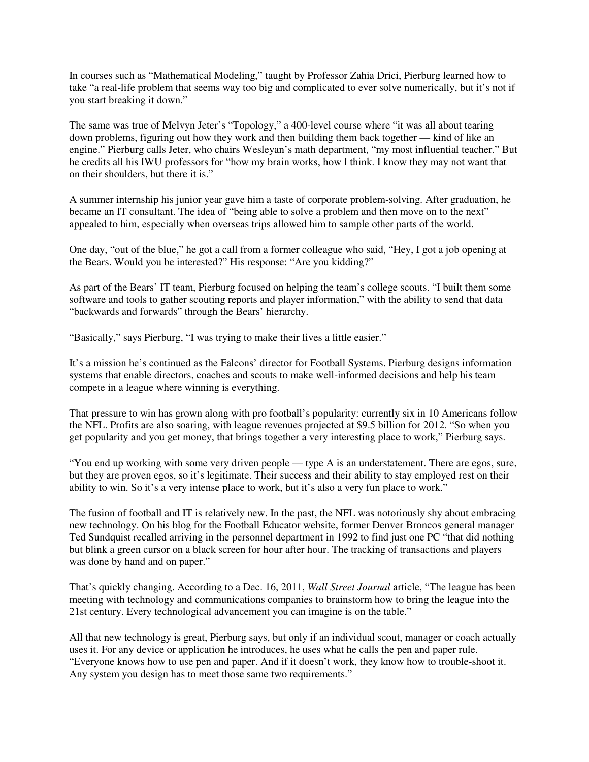In courses such as "Mathematical Modeling," taught by Professor Zahia Drici, Pierburg learned how to take "a real-life problem that seems way too big and complicated to ever solve numerically, but it's not if you start breaking it down."

The same was true of Melvyn Jeter's "Topology," a 400-level course where "it was all about tearing down problems, figuring out how they work and then building them back together — kind of like an engine." Pierburg calls Jeter, who chairs Wesleyan's math department, "my most influential teacher." But he credits all his IWU professors for "how my brain works, how I think. I know they may not want that on their shoulders, but there it is."

A summer internship his junior year gave him a taste of corporate problem-solving. After graduation, he became an IT consultant. The idea of "being able to solve a problem and then move on to the next" appealed to him, especially when overseas trips allowed him to sample other parts of the world.

One day, "out of the blue," he got a call from a former colleague who said, "Hey, I got a job opening at the Bears. Would you be interested?" His response: "Are you kidding?"

As part of the Bears' IT team, Pierburg focused on helping the team's college scouts. "I built them some software and tools to gather scouting reports and player information," with the ability to send that data "backwards and forwards" through the Bears' hierarchy.

"Basically," says Pierburg, "I was trying to make their lives a little easier."

It's a mission he's continued as the Falcons' director for Football Systems. Pierburg designs information systems that enable directors, coaches and scouts to make well-informed decisions and help his team compete in a league where winning is everything.

That pressure to win has grown along with pro football's popularity: currently six in 10 Americans follow the NFL. Profits are also soaring, with league revenues projected at \$9.5 billion for 2012. "So when you get popularity and you get money, that brings together a very interesting place to work," Pierburg says.

"You end up working with some very driven people — type A is an understatement. There are egos, sure, but they are proven egos, so it's legitimate. Their success and their ability to stay employed rest on their ability to win. So it's a very intense place to work, but it's also a very fun place to work."

The fusion of football and IT is relatively new. In the past, the NFL was notoriously shy about embracing new technology. On his blog for the Football Educator website, former Denver Broncos general manager Ted Sundquist recalled arriving in the personnel department in 1992 to find just one PC "that did nothing but blink a green cursor on a black screen for hour after hour. The tracking of transactions and players was done by hand and on paper."

That's quickly changing. According to a Dec. 16, 2011, *Wall Street Journal* article, "The league has been meeting with technology and communications companies to brainstorm how to bring the league into the 21st century. Every technological advancement you can imagine is on the table."

All that new technology is great, Pierburg says, but only if an individual scout, manager or coach actually uses it. For any device or application he introduces, he uses what he calls the pen and paper rule. "Everyone knows how to use pen and paper. And if it doesn't work, they know how to trouble-shoot it. Any system you design has to meet those same two requirements."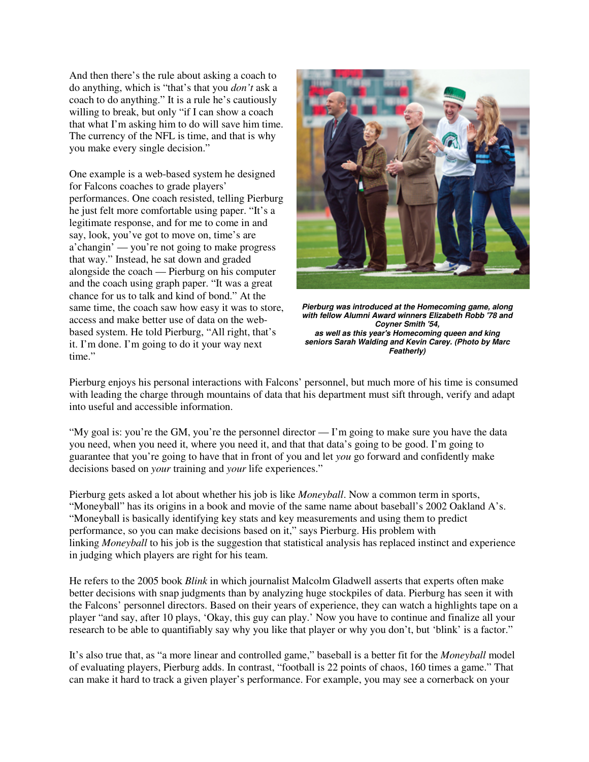And then there's the rule about asking a coach to do anything, which is "that's that you *don't* ask a coach to do anything." It is a rule he's cautiously willing to break, but only "if I can show a coach" that what I'm asking him to do will save him time. The currency of the NFL is time, and that is why you make every single decision."

One example is a web-based system he designed for Falcons coaches to grade players' performances. One coach resisted, telling Pierburg he just felt more comfortable using paper. "It's a legitimate response, and for me to come in and say, look, you've got to move on, time's are a'changin' — you're not going to make progress that way." Instead, he sat down and graded alongside the coach — Pierburg on his computer and the coach using graph paper. "It was a great chance for us to talk and kind of bond." At the same time, the coach saw how easy it was to store, access and make better use of data on the webbased system. He told Pierburg, "All right, that's it. I'm done. I'm going to do it your way next time."



**Pierburg was introduced at the Homecoming game, along with fellow Alumni Award winners Elizabeth Robb '78 and Coyner Smith '54, as well as this year's Homecoming queen and king seniors Sarah Walding and Kevin Carey. (Photo by Marc Featherly)**

Pierburg enjoys his personal interactions with Falcons' personnel, but much more of his time is consumed with leading the charge through mountains of data that his department must sift through, verify and adapt into useful and accessible information.

"My goal is: you're the GM, you're the personnel director — I'm going to make sure you have the data you need, when you need it, where you need it, and that that data's going to be good. I'm going to guarantee that you're going to have that in front of you and let *you* go forward and confidently make decisions based on *your* training and *your* life experiences."

Pierburg gets asked a lot about whether his job is like *Moneyball*. Now a common term in sports, "Moneyball" has its origins in a book and movie of the same name about baseball's 2002 Oakland A's. "Moneyball is basically identifying key stats and key measurements and using them to predict performance, so you can make decisions based on it," says Pierburg. His problem with linking *Moneyball* to his job is the suggestion that statistical analysis has replaced instinct and experience in judging which players are right for his team.

He refers to the 2005 book *Blink* in which journalist Malcolm Gladwell asserts that experts often make better decisions with snap judgments than by analyzing huge stockpiles of data. Pierburg has seen it with the Falcons' personnel directors. Based on their years of experience, they can watch a highlights tape on a player "and say, after 10 plays, 'Okay, this guy can play.' Now you have to continue and finalize all your research to be able to quantifiably say why you like that player or why you don't, but 'blink' is a factor."

It's also true that, as "a more linear and controlled game," baseball is a better fit for the *Moneyball* model of evaluating players, Pierburg adds. In contrast, "football is 22 points of chaos, 160 times a game." That can make it hard to track a given player's performance. For example, you may see a cornerback on your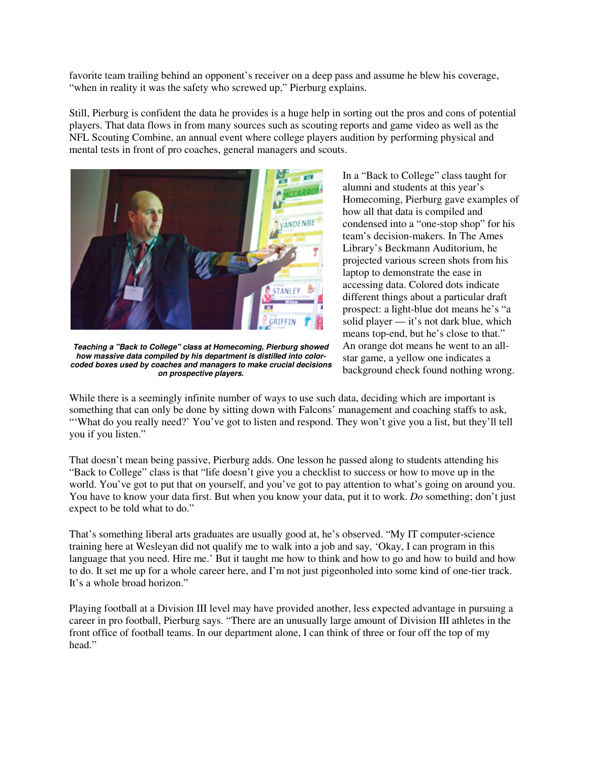favorite team trailing behind an opponent's receiver on a deep pass and assume he blew his coverage, "when in reality it was the safety who screwed up," Pierburg explains.

Still, Pierburg is confident the data he provides is a huge help in sorting out the pros and cons of potential players. That data flows in from many sources such as scouting reports and game video as well as the NFL Scouting Combine, an annual event where college players audition by performing physical and mental tests in front of pro coaches, general managers and scouts.



**Teaching a "Back to College" class at Homecoming, Pierburg showed how massive data compiled by his department is distilled into colorcoded boxes used by coaches and managers to make crucial decisions on prospective players.**

In a "Back to College" class taught for alumni and students at this year's Homecoming, Pierburg gave examples of how all that data is compiled and condensed into a "one-stop shop" for his team's decision-makers. In The Ames Library's Beckmann Auditorium, he projected various screen shots from his laptop to demonstrate the ease in accessing data. Colored dots indicate different things about a particular draft prospect: a light-blue dot means he's "a solid player — it's not dark blue, which means top-end, but he's close to that." An orange dot means he went to an allstar game, a yellow one indicates a background check found nothing wrong.

While there is a seemingly infinite number of ways to use such data, deciding which are important is something that can only be done by sitting down with Falcons' management and coaching staffs to ask, "What do you really need?' You've got to listen and respond. They won't give you a list, but they'll tell you if you listen."

That doesn't mean being passive, Pierburg adds. One lesson he passed along to students attending his "Back to College" class is that "life doesn't give you a checklist to success or how to move up in the world. You've got to put that on yourself, and you've got to pay attention to what's going on around you. You have to know your data first. But when you know your data, put it to work. *Do* something; don't just expect to be told what to do."

That's something liberal arts graduates are usually good at, he's observed. "My IT computer-science training here at Wesleyan did not qualify me to walk into a job and say, 'Okay, I can program in this language that you need. Hire me.' But it taught me how to think and how to go and how to build and how to do. It set me up for a whole career here, and I'm not just pigeonholed into some kind of one-tier track. It's a whole broad horizon."

Playing football at a Division III level may have provided another, less expected advantage in pursuing a career in pro football, Pierburg says. "There are an unusually large amount of Division III athletes in the front office of football teams. In our department alone, I can think of three or four off the top of my head."